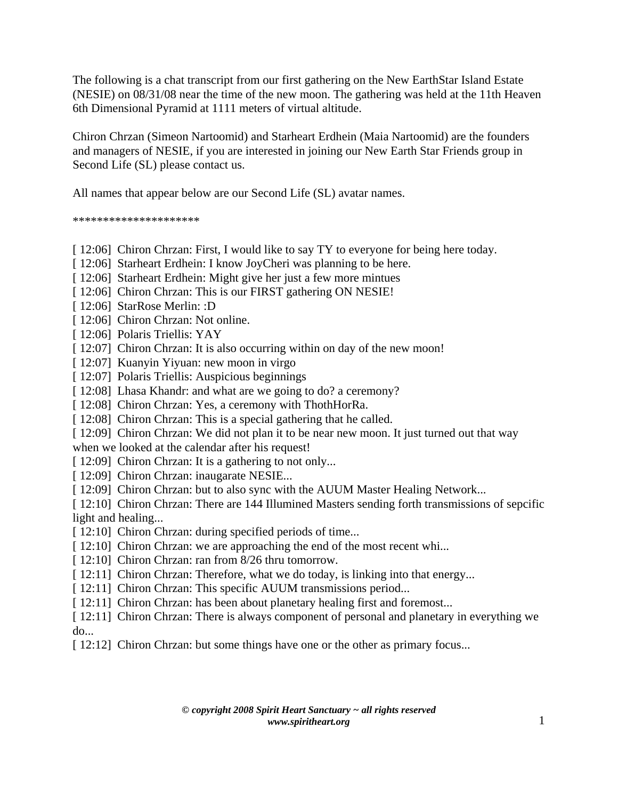The following is a chat transcript from our first gathering on the New EarthStar Island Estate (NESIE) on 08/31/08 near the time of the new moon. The gathering was held at the 11th Heaven 6th Dimensional Pyramid at 1111 meters of virtual altitude.

Chiron Chrzan (Simeon Nartoomid) and Starheart Erdhein (Maia Nartoomid) are the founders and managers of NESIE, if you are interested in joining our New Earth Star Friends group in Second Life (SL) please contact us.

All names that appear below are our Second Life (SL) avatar names.

\*\*\*\*\*\*\*\*\*\*\*\*\*\*\*\*\*\*\*\*\*

- [ 12:06] Chiron Chrzan: First, I would like to say TY to everyone for being here today.
- [ 12:06] Starheart Erdhein: I know JoyCheri was planning to be here.
- [ 12:06] Starheart Erdhein: Might give her just a few more mintues
- [ 12:06] Chiron Chrzan: This is our FIRST gathering ON NESIE!
- [ 12:06] StarRose Merlin: :D
- [ 12:06] Chiron Chrzan: Not online.
- [ 12:06] Polaris Triellis: YAY
- [ 12:07] Chiron Chrzan: It is also occurring within on day of the new moon!
- [ 12:07] Kuanyin Yiyuan: new moon in virgo
- [ 12:07] Polaris Triellis: Auspicious beginnings
- [ 12:08] Lhasa Khandr: and what are we going to do? a ceremony?
- [ 12:08] Chiron Chrzan: Yes, a ceremony with ThothHorRa.
- [ 12:08] Chiron Chrzan: This is a special gathering that he called.
- [ 12:09] Chiron Chrzan: We did not plan it to be near new moon. It just turned out that way

when we looked at the calendar after his request!

- [ 12:09] Chiron Chrzan: It is a gathering to not only...
- [ 12:09] Chiron Chrzan: inaugarate NESIE...
- [ 12:09] Chiron Chrzan: but to also sync with the AUUM Master Healing Network...

[ 12:10] Chiron Chrzan: There are 144 Illumined Masters sending forth transmissions of sepcific light and healing...

- [ 12:10] Chiron Chrzan: during specified periods of time...
- [ 12:10] Chiron Chrzan: we are approaching the end of the most recent whi...
- [ 12:10] Chiron Chrzan: ran from 8/26 thru tomorrow.
- [ 12:11] Chiron Chrzan: Therefore, what we do today, is linking into that energy...
- [ 12:11] Chiron Chrzan: This specific AUUM transmissions period...
- [ 12:11] Chiron Chrzan: has been about planetary healing first and foremost...
- [ 12:11] Chiron Chrzan: There is always component of personal and planetary in everything we do...
- [ 12:12] Chiron Chrzan: but some things have one or the other as primary focus...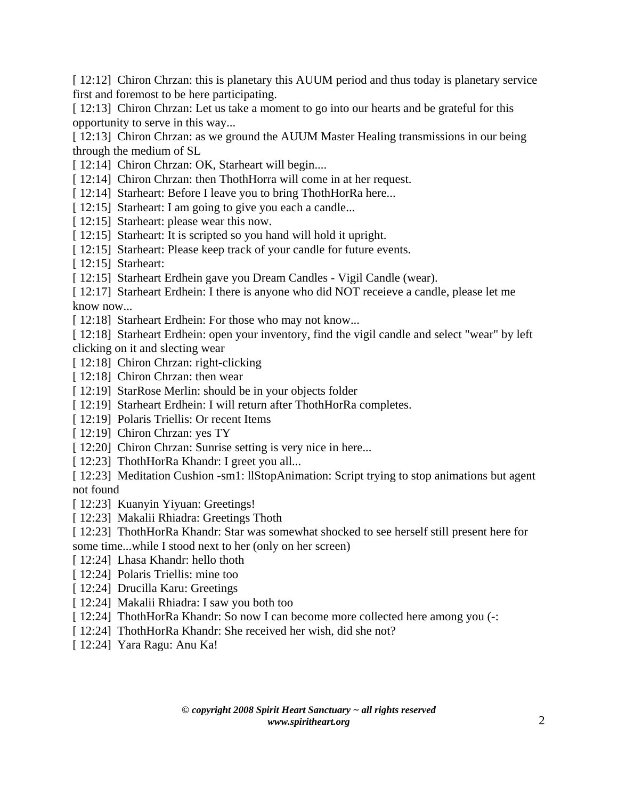[ 12:12] Chiron Chrzan: this is planetary this AUUM period and thus today is planetary service first and foremost to be here participating.

[ 12:13] Chiron Chrzan: Let us take a moment to go into our hearts and be grateful for this opportunity to serve in this way...

[ 12:13] Chiron Chrzan: as we ground the AUUM Master Healing transmissions in our being through the medium of SL

- [ 12:14] Chiron Chrzan: OK, Starheart will begin....
- [ 12:14] Chiron Chrzan: then ThothHorra will come in at her request.
- [ 12:14] Starheart: Before I leave you to bring ThothHorRa here...
- [ 12:15] Starheart: I am going to give you each a candle...
- [ 12:15] Starheart: please wear this now.
- [ 12:15] Starheart: It is scripted so you hand will hold it upright.
- [ 12:15] Starheart: Please keep track of your candle for future events.
- [ 12:15] Starheart:
- [ 12:15] Starheart Erdhein gave you Dream Candles Vigil Candle (wear).

[ 12:17] Starheart Erdhein: I there is anyone who did NOT receieve a candle, please let me know now...

- [ 12:18] Starheart Erdhein: For those who may not know...
- [ 12:18] Starheart Erdhein: open your inventory, find the vigil candle and select "wear" by left clicking on it and slecting wear
- [ 12:18] Chiron Chrzan: right-clicking
- [ 12:18] Chiron Chrzan: then wear
- [ 12:19] StarRose Merlin: should be in your objects folder
- [ 12:19] Starheart Erdhein: I will return after ThothHorRa completes.
- [ 12:19] Polaris Triellis: Or recent Items
- [ 12:19] Chiron Chrzan: yes TY
- [ 12:20] Chiron Chrzan: Sunrise setting is very nice in here...
- [ 12:23] ThothHorRa Khandr: I greet you all...
- [ 12:23] Meditation Cushion -sm1: llStopAnimation: Script trying to stop animations but agent not found
- [ 12:23] Kuanyin Yiyuan: Greetings!
- [ 12:23] Makalii Rhiadra: Greetings Thoth
- [ 12:23] ThothHorRa Khandr: Star was somewhat shocked to see herself still present here for
- some time...while I stood next to her (only on her screen)
- [ 12:24] Lhasa Khandr: hello thoth
- [ 12:24] Polaris Triellis: mine too
- [ 12:24] Drucilla Karu: Greetings
- [ 12:24] Makalii Rhiadra: I saw you both too
- [ 12:24] ThothHorRa Khandr: So now I can become more collected here among you (-:
- [ 12:24] ThothHorRa Khandr: She received her wish, did she not?
- [ 12:24] Yara Ragu: Anu Ka!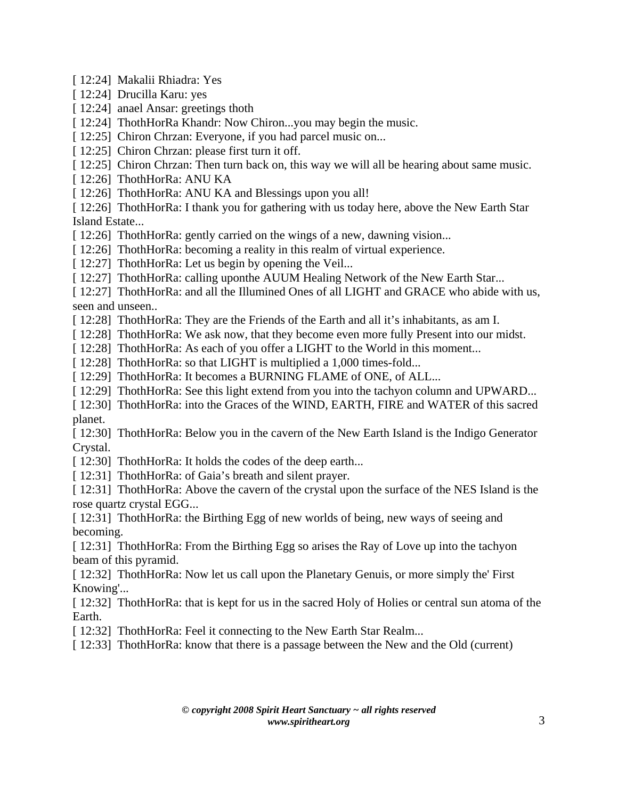[ 12:24] Makalii Rhiadra: Yes

- [ 12:24] Drucilla Karu: yes
- [ 12:24] anael Ansar: greetings thoth
- [ 12:24] ThothHorRa Khandr: Now Chiron...you may begin the music.
- [ 12:25] Chiron Chrzan: Everyone, if you had parcel music on...
- [ 12:25] Chiron Chrzan: please first turn it off.
- [ 12:25] Chiron Chrzan: Then turn back on, this way we will all be hearing about same music.
- [ 12:26] ThothHorRa: ANU KA
- [ 12:26] ThothHorRa: ANU KA and Blessings upon you all!

[ 12:26] ThothHorRa: I thank you for gathering with us today here, above the New Earth Star Island Estate...

- [ 12:26] ThothHorRa: gently carried on the wings of a new, dawning vision...
- [ 12:26] ThothHorRa: becoming a reality in this realm of virtual experience.
- [ 12:27] ThothHorRa: Let us begin by opening the Veil...
- [ 12:27] ThothHorRa: calling uponthe AUUM Healing Network of the New Earth Star...

[ 12:27] ThothHorRa: and all the Illumined Ones of all LIGHT and GRACE who abide with us, seen and unseen..

- [ 12:28] ThothHorRa: They are the Friends of the Earth and all it's inhabitants, as am I.
- [ 12:28] ThothHorRa: We ask now, that they become even more fully Present into our midst.
- [ 12:28] ThothHorRa: As each of you offer a LIGHT to the World in this moment...
- [ 12:28] ThothHorRa: so that LIGHT is multiplied a 1,000 times-fold...
- [ 12:29] ThothHorRa: It becomes a BURNING FLAME of ONE, of ALL...
- [ 12:29] ThothHorRa: See this light extend from you into the tachyon column and UPWARD...
- [ 12:30] ThothHorRa: into the Graces of the WIND, EARTH, FIRE and WATER of this sacred planet.

[ 12:30] ThothHorRa: Below you in the cavern of the New Earth Island is the Indigo Generator Crystal.

- [ 12:30] ThothHorRa: It holds the codes of the deep earth...
- [ 12:31] ThothHorRa: of Gaia's breath and silent prayer.

[ 12:31] ThothHorRa: Above the cavern of the crystal upon the surface of the NES Island is the rose quartz crystal EGG...

[ 12:31] ThothHorRa: the Birthing Egg of new worlds of being, new ways of seeing and becoming.

[ 12:31] ThothHorRa: From the Birthing Egg so arises the Ray of Love up into the tachyon beam of this pyramid.

[ 12:32] ThothHorRa: Now let us call upon the Planetary Genuis, or more simply the First Knowing'...

[12:32] ThothHorRa: that is kept for us in the sacred Holy of Holies or central sun atoma of the Earth.

[ 12:32] ThothHorRa: Feel it connecting to the New Earth Star Realm...

[ 12:33] ThothHorRa: know that there is a passage between the New and the Old (current)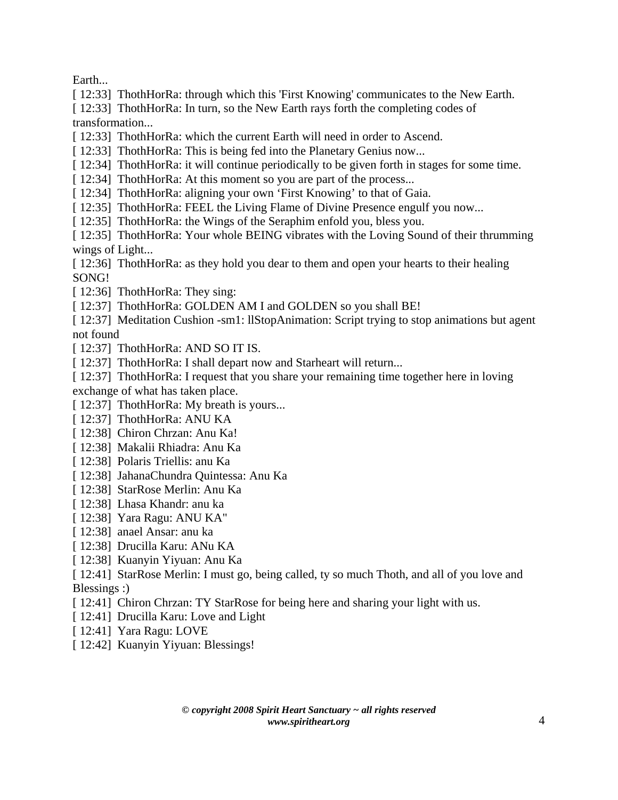Earth...

[ 12:33] ThothHorRa: through which this 'First Knowing' communicates to the New Earth.

[ 12:33] ThothHorRa: In turn, so the New Earth rays forth the completing codes of transformation...

[ 12:33] ThothHorRa: which the current Earth will need in order to Ascend.

[ 12:33] ThothHorRa: This is being fed into the Planetary Genius now...

- [ 12:34] ThothHorRa: it will continue periodically to be given forth in stages for some time.
- [ 12:34] ThothHorRa: At this moment so you are part of the process...
- [ 12:34] ThothHorRa: aligning your own 'First Knowing' to that of Gaia.
- [ 12:35] ThothHorRa: FEEL the Living Flame of Divine Presence engulf you now...
- [ 12:35] ThothHorRa: the Wings of the Seraphim enfold you, bless you.

[ 12:35] ThothHorRa: Your whole BEING vibrates with the Loving Sound of their thrumming wings of Light...

[ 12:36] ThothHorRa: as they hold you dear to them and open your hearts to their healing SONG!

[ 12:36] ThothHorRa: They sing:

[ 12:37] ThothHorRa: GOLDEN AM I and GOLDEN so you shall BE!

- [ 12:37] Meditation Cushion -sm1: llStopAnimation: Script trying to stop animations but agent not found
- [ 12:37] ThothHorRa: AND SO IT IS.
- [ 12:37] ThothHorRa: I shall depart now and Starheart will return...
- [ 12:37] ThothHorRa: I request that you share your remaining time together here in loving exchange of what has taken place.
- [ 12:37] ThothHorRa: My breath is yours...
- [ 12:37] ThothHorRa: ANU KA
- [ 12:38] Chiron Chrzan: Anu Ka!
- [ 12:38] Makalii Rhiadra: Anu Ka
- [ 12:38] Polaris Triellis: anu Ka
- [ 12:38] JahanaChundra Quintessa: Anu Ka
- [ 12:38] StarRose Merlin: Anu Ka
- [ 12:38] Lhasa Khandr: anu ka
- [ 12:38] Yara Ragu: ANU KA"
- [ 12:38] anael Ansar: anu ka
- [ 12:38] Drucilla Karu: ANu KA
- [ 12:38] Kuanyin Yiyuan: Anu Ka
- [ 12:41] StarRose Merlin: I must go, being called, ty so much Thoth, and all of you love and Blessings :)
- [ 12:41] Chiron Chrzan: TY StarRose for being here and sharing your light with us.
- [ 12:41] Drucilla Karu: Love and Light
- [ 12:41] Yara Ragu: LOVE
- [ 12:42] Kuanyin Yiyuan: Blessings!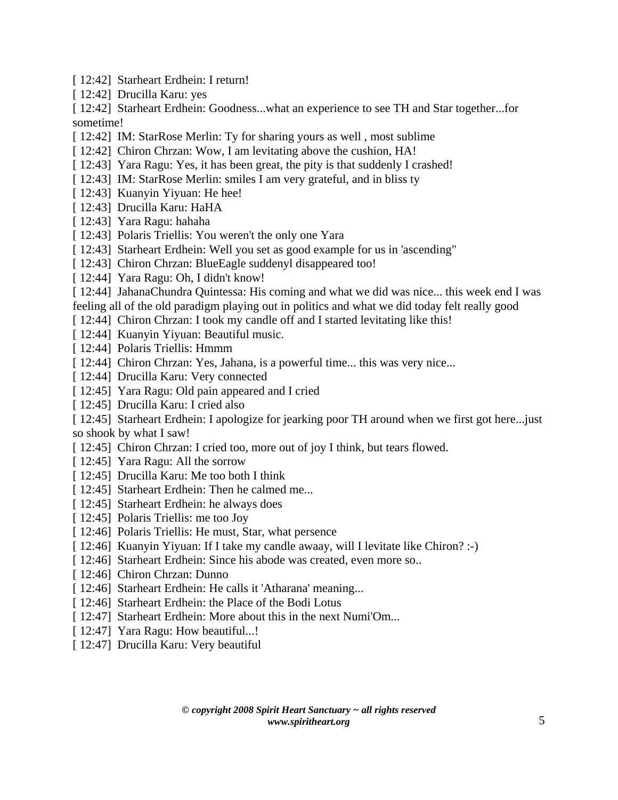- [ 12:42] Starheart Erdhein: I return!
- [ 12:42] Drucilla Karu: yes

[ 12:42] Starheart Erdhein: Goodness...what an experience to see TH and Star together...for sometime!

- [ 12:42] IM: StarRose Merlin: Ty for sharing yours as well, most sublime
- [ 12:42] Chiron Chrzan: Wow, I am levitating above the cushion, HA!
- [ 12:43] Yara Ragu: Yes, it has been great, the pity is that suddenly I crashed!
- [ 12:43] IM: StarRose Merlin: smiles I am very grateful, and in bliss ty
- [ 12:43] Kuanyin Yiyuan: He hee!
- [ 12:43] Drucilla Karu: HaHA
- [ 12:43] Yara Ragu: hahaha
- [ 12:43] Polaris Triellis: You weren't the only one Yara
- [ 12:43] Starheart Erdhein: Well you set as good example for us in 'ascending"
- [ 12:43] Chiron Chrzan: BlueEagle suddenyl disappeared too!
- [ 12:44] Yara Ragu: Oh, I didn't know!
- [ 12:44] JahanaChundra Quintessa: His coming and what we did was nice... this week end I was
- feeling all of the old paradigm playing out in politics and what we did today felt really good
- [ 12:44] Chiron Chrzan: I took my candle off and I started levitating like this!
- [ 12:44] Kuanyin Yiyuan: Beautiful music.
- [ 12:44] Polaris Triellis: Hmmm
- [ 12:44] Chiron Chrzan: Yes, Jahana, is a powerful time... this was very nice...
- [ 12:44] Drucilla Karu: Very connected
- [ 12:45] Yara Ragu: Old pain appeared and I cried
- [ 12:45] Drucilla Karu: I cried also
- [ 12:45] Starheart Erdhein: I apologize for jearking poor TH around when we first got here.... just so shook by what I saw!
- [ 12:45] Chiron Chrzan: I cried too, more out of joy I think, but tears flowed.
- [ 12:45] Yara Ragu: All the sorrow
- [ 12:45] Drucilla Karu: Me too both I think
- [ 12:45] Starheart Erdhein: Then he calmed me...
- [ 12:45] Starheart Erdhein: he always does
- [ 12:45] Polaris Triellis: me too Joy
- [ 12:46] Polaris Triellis: He must, Star, what persence
- [ 12:46] Kuanyin Yiyuan: If I take my candle awaay, will I levitate like Chiron? :-)
- [ 12:46] Starheart Erdhein: Since his abode was created, even more so..
- [ 12:46] Chiron Chrzan: Dunno
- [ 12:46] Starheart Erdhein: He calls it 'Atharana' meaning...
- [ 12:46] Starheart Erdhein: the Place of the Bodi Lotus
- [ 12:47] Starheart Erdhein: More about this in the next Numi'Om...
- [ 12:47] Yara Ragu: How beautiful...!
- [ 12:47] Drucilla Karu: Very beautiful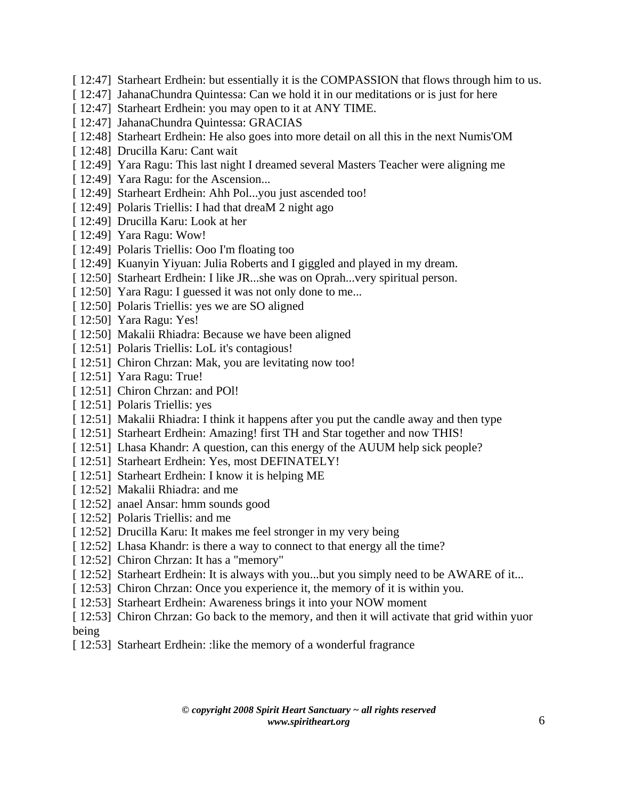- [ 12:47] Starheart Erdhein: but essentially it is the COMPASSION that flows through him to us.
- [ 12:47] JahanaChundra Quintessa: Can we hold it in our meditations or is just for here
- [ 12:47] Starheart Erdhein: you may open to it at ANY TIME.
- [ 12:47] JahanaChundra Quintessa: GRACIAS
- [ 12:48] Starheart Erdhein: He also goes into more detail on all this in the next Numis'OM
- [ 12:48] Drucilla Karu: Cant wait
- [ 12:49] Yara Ragu: This last night I dreamed several Masters Teacher were aligning me
- [ 12:49] Yara Ragu: for the Ascension...
- [ 12:49] Starheart Erdhein: Ahh Pol...you just ascended too!
- [ 12:49] Polaris Triellis: I had that dreaM 2 night ago
- [ 12:49] Drucilla Karu: Look at her
- [ 12:49] Yara Ragu: Wow!
- [ 12:49] Polaris Triellis: Ooo I'm floating too
- [ 12:49] Kuanyin Yiyuan: Julia Roberts and I giggled and played in my dream.
- [ 12:50] Starheart Erdhein: I like JR...she was on Oprah...very spiritual person.
- [ 12:50] Yara Ragu: I guessed it was not only done to me...
- [ 12:50] Polaris Triellis: yes we are SO aligned
- [ 12:50] Yara Ragu: Yes!
- [ 12:50] Makalii Rhiadra: Because we have been aligned
- [ 12:51] Polaris Triellis: LoL it's contagious!
- [ 12:51] Chiron Chrzan: Mak, you are levitating now too!
- [ 12:51] Yara Ragu: True!
- [ 12:51] Chiron Chrzan: and POI!
- [ 12:51] Polaris Triellis: yes
- [ 12:51] Makalii Rhiadra: I think it happens after you put the candle away and then type
- [ 12:51] Starheart Erdhein: Amazing! first TH and Star together and now THIS!
- [ 12:51] Lhasa Khandr: A question, can this energy of the AUUM help sick people?
- [ 12:51] Starheart Erdhein: Yes, most DEFINATELY!
- [ 12:51] Starheart Erdhein: I know it is helping ME
- [ 12:52] Makalii Rhiadra: and me
- [ 12:52] anael Ansar: hmm sounds good
- [ 12:52] Polaris Triellis: and me
- [ 12:52] Drucilla Karu: It makes me feel stronger in my very being
- [ 12:52] Lhasa Khandr: is there a way to connect to that energy all the time?
- [ 12:52] Chiron Chrzan: It has a "memory"
- [ 12:52] Starheart Erdhein: It is always with you...but you simply need to be AWARE of it...
- [ 12:53] Chiron Chrzan: Once you experience it, the memory of it is within you.
- [ 12:53] Starheart Erdhein: Awareness brings it into your NOW moment
- [ 12:53] Chiron Chrzan: Go back to the memory, and then it will activate that grid within yuor being
- [12:53] Starheart Erdhein: :like the memory of a wonderful fragrance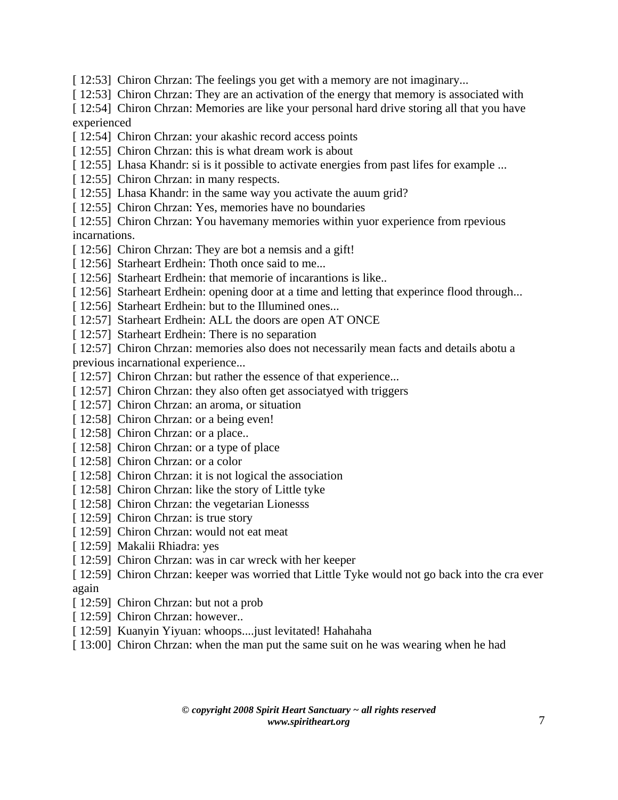[ 12:53] Chiron Chrzan: The feelings you get with a memory are not imaginary...

[ 12:53] Chiron Chrzan: They are an activation of the energy that memory is associated with

[ 12:54] Chiron Chrzan: Memories are like your personal hard drive storing all that you have experienced

- [ 12:54] Chiron Chrzan: your akashic record access points
- [ 12:55] Chiron Chrzan: this is what dream work is about
- [ 12:55] Lhasa Khandr: si is it possible to activate energies from past lifes for example ...
- [ 12:55] Chiron Chrzan: in many respects.
- [ 12:55] Lhasa Khandr: in the same way you activate the auum grid?
- [ 12:55] Chiron Chrzan: Yes, memories have no boundaries

[ 12:55] Chiron Chrzan: You havemany memories within yuor experience from rpevious incarnations.

- [ 12:56] Chiron Chrzan: They are bot a nemsis and a gift!
- [ 12:56] Starheart Erdhein: Thoth once said to me...
- [ 12:56] Starheart Erdhein: that memorie of incarantions is like...
- [ 12:56] Starheart Erdhein: opening door at a time and letting that experince flood through...
- [ 12:56] Starheart Erdhein: but to the Illumined ones...
- [ 12:57] Starheart Erdhein: ALL the doors are open AT ONCE
- [ 12:57] Starheart Erdhein: There is no separation
- [ 12:57] Chiron Chrzan: memories also does not necessarily mean facts and details abotu a

previous incarnational experience...

- [ 12:57] Chiron Chrzan: but rather the essence of that experience...
- [ 12:57] Chiron Chrzan: they also often get associatyed with triggers
- [ 12:57] Chiron Chrzan: an aroma, or situation
- [ 12:58] Chiron Chrzan: or a being even!
- [ 12:58] Chiron Chrzan: or a place...
- [ 12:58] Chiron Chrzan: or a type of place
- [ 12:58] Chiron Chrzan: or a color
- [ 12:58] Chiron Chrzan: it is not logical the association
- [ 12:58] Chiron Chrzan: like the story of Little tyke
- [ 12:58] Chiron Chrzan: the vegetarian Lionesss
- [ 12:59] Chiron Chrzan: is true story
- [ 12:59] Chiron Chrzan: would not eat meat
- [ 12:59] Makalii Rhiadra: yes
- [ 12:59] Chiron Chrzan: was in car wreck with her keeper

[ 12:59] Chiron Chrzan: keeper was worried that Little Tyke would not go back into the cra ever again

- [12:59] Chiron Chrzan: but not a prob
- [ 12:59] Chiron Chrzan: however..
- [ 12:59] Kuanyin Yiyuan: whoops....just levitated! Hahahaha
- [ 13:00] Chiron Chrzan: when the man put the same suit on he was wearing when he had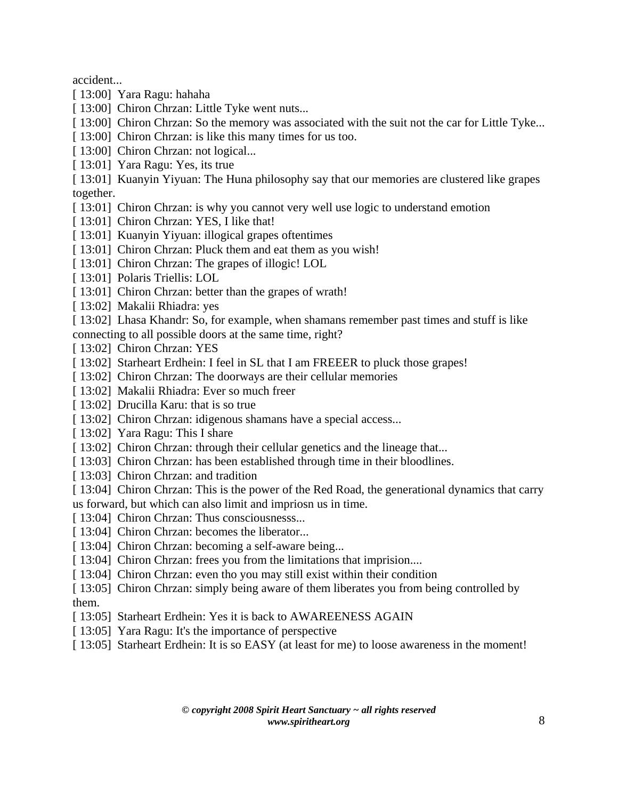accident...

- [ 13:00] Yara Ragu: hahaha
- [ 13:00] Chiron Chrzan: Little Tyke went nuts...
- [ 13:00] Chiron Chrzan: So the memory was associated with the suit not the car for Little Tyke...
- [ 13:00] Chiron Chrzan: is like this many times for us too.
- [ 13:00] Chiron Chrzan: not logical...
- [ 13:01] Yara Ragu: Yes, its true

[ 13:01] Kuanyin Yiyuan: The Huna philosophy say that our memories are clustered like grapes together.

- [ 13:01] Chiron Chrzan: is why you cannot very well use logic to understand emotion
- [ 13:01] Chiron Chrzan: YES, I like that!
- [ 13:01] Kuanyin Yiyuan: illogical grapes oftentimes
- [ 13:01] Chiron Chrzan: Pluck them and eat them as you wish!
- [13:01] Chiron Chrzan: The grapes of illogic! LOL
- [ 13:01] Polaris Triellis: LOL
- [ 13:01] Chiron Chrzan: better than the grapes of wrath!
- [ 13:02] Makalii Rhiadra: yes
- [ 13:02] Lhasa Khandr: So, for example, when shamans remember past times and stuff is like

connecting to all possible doors at the same time, right?

- [ 13:02] Chiron Chrzan: YES
- [ 13:02] Starheart Erdhein: I feel in SL that I am FREEER to pluck those grapes!
- [ 13:02] Chiron Chrzan: The doorways are their cellular memories
- [ 13:02] Makalii Rhiadra: Ever so much freer
- [ 13:02] Drucilla Karu: that is so true
- [ 13:02] Chiron Chrzan: idigenous shamans have a special access...
- [ 13:02] Yara Ragu: This I share
- [ 13:02] Chiron Chrzan: through their cellular genetics and the lineage that...
- [ 13:03] Chiron Chrzan: has been established through time in their bloodlines.
- [ 13:03] Chiron Chrzan: and tradition

[ 13:04] Chiron Chrzan: This is the power of the Red Road, the generational dynamics that carry us forward, but which can also limit and impriosn us in time.

- [ 13:04] Chiron Chrzan: Thus consciousnesss...
- [ 13:04] Chiron Chrzan: becomes the liberator...
- [ 13:04] Chiron Chrzan: becoming a self-aware being...
- [ 13:04] Chiron Chrzan: frees you from the limitations that imprision....
- [ 13:04] Chiron Chrzan: even tho you may still exist within their condition
- [ 13:05] Chiron Chrzan: simply being aware of them liberates you from being controlled by them.
- [ 13:05] Starheart Erdhein: Yes it is back to AWAREENESS AGAIN
- [ 13:05] Yara Ragu: It's the importance of perspective
- [ 13:05] Starheart Erdhein: It is so EASY (at least for me) to loose awareness in the moment!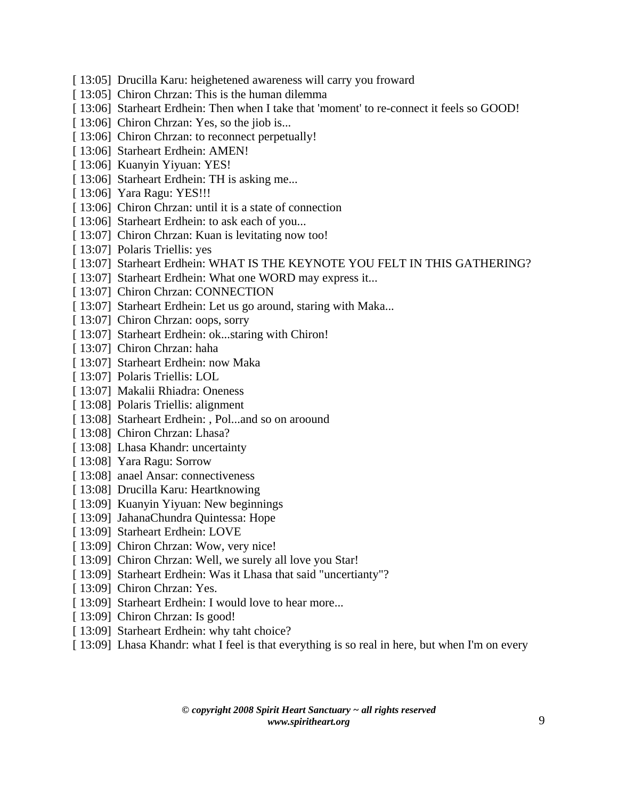- [ 13:05] Drucilla Karu: heighetened awareness will carry you froward
- [ 13:05] Chiron Chrzan: This is the human dilemma
- [ 13:06] Starheart Erdhein: Then when I take that 'moment' to re-connect it feels so GOOD!
- [ 13:06] Chiron Chrzan: Yes, so the jiob is...
- [ 13:06] Chiron Chrzan: to reconnect perpetually!
- [ 13:06] Starheart Erdhein: AMEN!
- [ 13:06] Kuanyin Yiyuan: YES!
- [ 13:06] Starheart Erdhein: TH is asking me...
- [ 13:06] Yara Ragu: YES!!!
- [ 13:06] Chiron Chrzan: until it is a state of connection
- [ 13:06] Starheart Erdhein: to ask each of you...
- [ 13:07] Chiron Chrzan: Kuan is levitating now too!
- [ 13:07] Polaris Triellis: yes
- [ 13:07] Starheart Erdhein: WHAT IS THE KEYNOTE YOU FELT IN THIS GATHERING?
- [ 13:07] Starheart Erdhein: What one WORD may express it...
- [ 13:07] Chiron Chrzan: CONNECTION
- [ 13:07] Starheart Erdhein: Let us go around, staring with Maka...
- [ 13:07] Chiron Chrzan: oops, sorry
- [ 13:07] Starheart Erdhein: ok...staring with Chiron!
- [ 13:07] Chiron Chrzan: haha
- [ 13:07] Starheart Erdhein: now Maka
- [ 13:07] Polaris Triellis: LOL
- [ 13:07] Makalii Rhiadra: Oneness
- [ 13:08] Polaris Triellis: alignment
- [ 13:08] Starheart Erdhein: , Pol...and so on aroound
- [ 13:08] Chiron Chrzan: Lhasa?
- [ 13:08] Lhasa Khandr: uncertainty
- [ 13:08] Yara Ragu: Sorrow
- [ 13:08] anael Ansar: connectiveness
- [ 13:08] Drucilla Karu: Heartknowing
- [ 13:09] Kuanyin Yiyuan: New beginnings
- [ 13:09] JahanaChundra Quintessa: Hope
- [ 13:09] Starheart Erdhein: LOVE
- [ 13:09] Chiron Chrzan: Wow, very nice!
- [ 13:09] Chiron Chrzan: Well, we surely all love you Star!
- [ 13:09] Starheart Erdhein: Was it Lhasa that said "uncertianty"?
- [ 13:09] Chiron Chrzan: Yes.
- [ 13:09] Starheart Erdhein: I would love to hear more...
- [ 13:09] Chiron Chrzan: Is good!
- [ 13:09] Starheart Erdhein: why taht choice?
- [ 13:09] Lhasa Khandr: what I feel is that everything is so real in here, but when I'm on every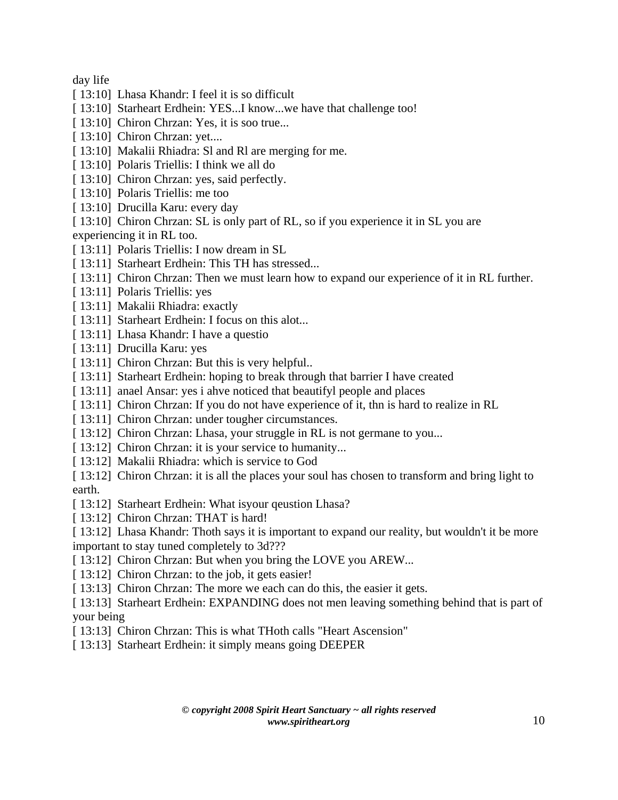day life

- [ 13:10] Lhasa Khandr: I feel it is so difficult
- [ 13:10] Starheart Erdhein: YES...I know...we have that challenge too!
- [ 13:10] Chiron Chrzan: Yes, it is soo true...
- [ 13:10] Chiron Chrzan: yet....
- [ 13:10] Makalii Rhiadra: Sl and Rl are merging for me.
- [ 13:10] Polaris Triellis: I think we all do
- [ 13:10] Chiron Chrzan: yes, said perfectly.
- [13:10] Polaris Triellis: me too
- [ 13:10] Drucilla Karu: every day
- [ 13:10] Chiron Chrzan: SL is only part of RL, so if you experience it in SL you are

experiencing it in RL too.

- [ 13:11] Polaris Triellis: I now dream in SL
- [ 13:11] Starheart Erdhein: This TH has stressed...
- [ 13:11] Chiron Chrzan: Then we must learn how to expand our experience of it in RL further.
- [ 13:11] Polaris Triellis: yes
- [ 13:11] Makalii Rhiadra: exactly
- [ 13:11] Starheart Erdhein: I focus on this alot...
- [ 13:11] Lhasa Khandr: I have a questio
- [ 13:11] Drucilla Karu: yes
- [ 13:11] Chiron Chrzan: But this is very helpful..
- [ 13:11] Starheart Erdhein: hoping to break through that barrier I have created
- [ 13:11] anael Ansar: yes i ahve noticed that beautifyl people and places
- [ 13:11] Chiron Chrzan: If you do not have experience of it, thn is hard to realize in RL
- [ 13:11] Chiron Chrzan: under tougher circumstances.
- [ 13:12] Chiron Chrzan: Lhasa, your struggle in RL is not germane to you...
- [ 13:12] Chiron Chrzan: it is your service to humanity...
- [ 13:12] Makalii Rhiadra: which is service to God
- [ 13:12] Chiron Chrzan: it is all the places your soul has chosen to transform and bring light to earth.
- [ 13:12] Starheart Erdhein: What isyour qeustion Lhasa?
- [ 13:12] Chiron Chrzan: THAT is hard!
- [ 13:12] Lhasa Khandr: Thoth says it is important to expand our reality, but wouldn't it be more important to stay tuned completely to 3d???
- [ 13:12] Chiron Chrzan: But when you bring the LOVE you AREW...
- [ 13:12] Chiron Chrzan: to the job, it gets easier!
- [ 13:13] Chiron Chrzan: The more we each can do this, the easier it gets.
- [ 13:13] Starheart Erdhein: EXPANDING does not men leaving something behind that is part of your being
- [ 13:13] Chiron Chrzan: This is what THoth calls "Heart Ascension"
- [ 13:13] Starheart Erdhein: it simply means going DEEPER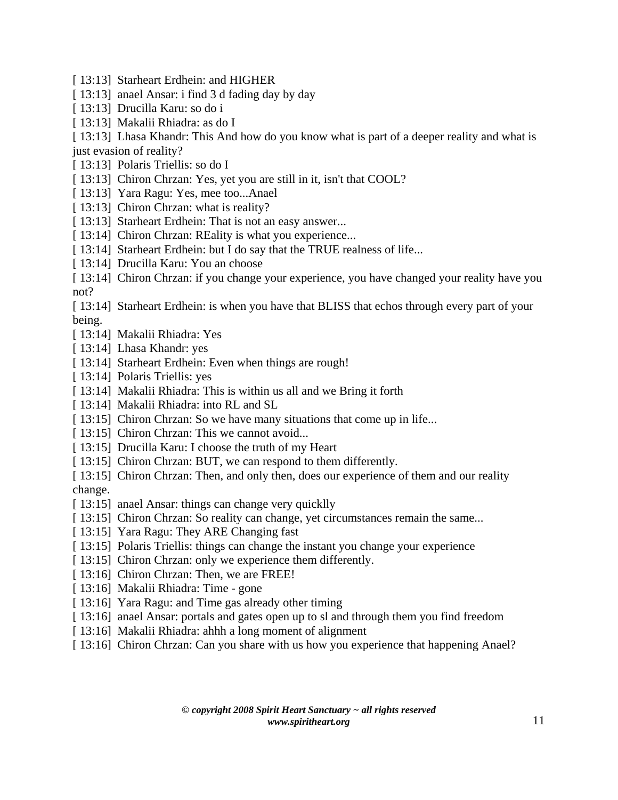- [ 13:13] Starheart Erdhein: and HIGHER
- [ 13:13] anael Ansar: i find 3 d fading day by day
- [ 13:13] Drucilla Karu: so do i
- [ 13:13] Makalii Rhiadra: as do I

[ 13:13] Lhasa Khandr: This And how do you know what is part of a deeper reality and what is just evasion of reality?

- [ 13:13] Polaris Triellis: so do I
- [ 13:13] Chiron Chrzan: Yes, yet you are still in it, isn't that COOL?
- [ 13:13] Yara Ragu: Yes, mee too...Anael
- [ 13:13] Chiron Chrzan: what is reality?
- [ 13:13] Starheart Erdhein: That is not an easy answer...
- [ 13:14] Chiron Chrzan: REality is what you experience...
- [ 13:14] Starheart Erdhein: but I do say that the TRUE realness of life...
- [ 13:14] Drucilla Karu: You an choose

[ 13:14] Chiron Chrzan: if you change your experience, you have changed your reality have you not?

[ 13:14] Starheart Erdhein: is when you have that BLISS that echos through every part of your being.

- [ 13:14] Makalii Rhiadra: Yes
- [ 13:14] Lhasa Khandr: yes
- [ 13:14] Starheart Erdhein: Even when things are rough!
- [13:14] Polaris Triellis: yes
- [ 13:14] Makalii Rhiadra: This is within us all and we Bring it forth
- [ 13:14] Makalii Rhiadra: into RL and SL
- [ 13:15] Chiron Chrzan: So we have many situations that come up in life...
- [ 13:15] Chiron Chrzan: This we cannot avoid...
- [ 13:15] Drucilla Karu: I choose the truth of my Heart
- [ 13:15] Chiron Chrzan: BUT, we can respond to them differently.
- [ 13:15] Chiron Chrzan: Then, and only then, does our experience of them and our reality change.
- [ 13:15] anael Ansar: things can change very quicklly
- [ 13:15] Chiron Chrzan: So reality can change, yet circumstances remain the same...
- [ 13:15] Yara Ragu: They ARE Changing fast
- [ 13:15] Polaris Triellis: things can change the instant you change your experience
- [ 13:15] Chiron Chrzan: only we experience them differently.
- [ 13:16] Chiron Chrzan: Then, we are FREE!
- [ 13:16] Makalii Rhiadra: Time gone
- [ 13:16] Yara Ragu: and Time gas already other timing
- [ 13:16] anael Ansar: portals and gates open up to sl and through them you find freedom
- [ 13:16] Makalii Rhiadra: ahhh a long moment of alignment
- [ 13:16] Chiron Chrzan: Can you share with us how you experience that happening Anael?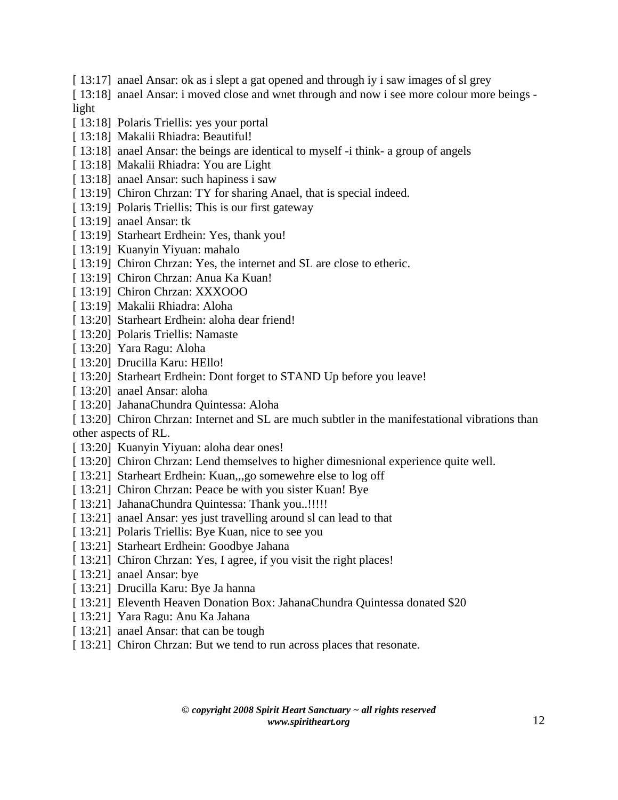[ 13:17] anael Ansar: ok as i slept a gat opened and through iy i saw images of sl grey

[ 13:18] anael Ansar: i moved close and wnet through and now i see more colour more beings light

- [ 13:18] Polaris Triellis: yes your portal
- [ 13:18] Makalii Rhiadra: Beautiful!
- [ 13:18] anael Ansar: the beings are identical to myself -i think- a group of angels
- [ 13:18] Makalii Rhiadra: You are Light
- [ 13:18] anael Ansar: such hapiness i saw
- [ 13:19] Chiron Chrzan: TY for sharing Anael, that is special indeed.
- [ 13:19] Polaris Triellis: This is our first gateway
- [ 13:19] anael Ansar: tk
- [ 13:19] Starheart Erdhein: Yes, thank you!
- [ 13:19] Kuanyin Yiyuan: mahalo
- [ 13:19] Chiron Chrzan: Yes, the internet and SL are close to etheric.
- [ 13:19] Chiron Chrzan: Anua Ka Kuan!
- [ 13:19] Chiron Chrzan: XXXOOO
- [ 13:19] Makalii Rhiadra: Aloha
- [ 13:20] Starheart Erdhein: aloha dear friend!
- [ 13:20] Polaris Triellis: Namaste
- [ 13:20] Yara Ragu: Aloha
- [ 13:20] Drucilla Karu: HEllo!
- [ 13:20] Starheart Erdhein: Dont forget to STAND Up before you leave!
- [ 13:20] anael Ansar: aloha
- [ 13:20] JahanaChundra Quintessa: Aloha
- [ 13:20] Chiron Chrzan: Internet and SL are much subtler in the manifestational vibrations than other aspects of RL.
- [ 13:20] Kuanyin Yiyuan: aloha dear ones!
- [ 13:20] Chiron Chrzan: Lend themselves to higher dimesnional experience quite well.
- [ 13:21] Starheart Erdhein: Kuan,,,go somewehre else to log off
- [ 13:21] Chiron Chrzan: Peace be with you sister Kuan! Bye
- [ 13:21] JahanaChundra Quintessa: Thank you..!!!!!
- [ 13:21] anael Ansar: yes just travelling around sl can lead to that
- [ 13:21] Polaris Triellis: Bye Kuan, nice to see you
- [ 13:21] Starheart Erdhein: Goodbye Jahana
- [ 13:21] Chiron Chrzan: Yes, I agree, if you visit the right places!
- [ 13:21] anael Ansar: bye
- [ 13:21] Drucilla Karu: Bye Ja hanna
- [ 13:21] Eleventh Heaven Donation Box: JahanaChundra Quintessa donated \$20
- [ 13:21] Yara Ragu: Anu Ka Jahana
- [ 13:21] anael Ansar: that can be tough
- [ 13:21] Chiron Chrzan: But we tend to run across places that resonate.